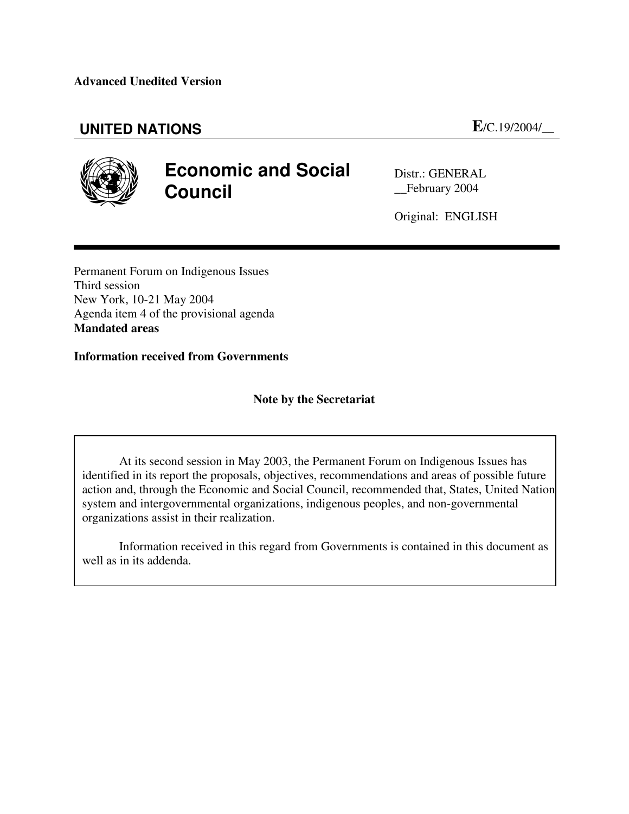# **UNITED NATIONS E**/C.19/2004/\_\_



# **Economic and Social Council**

Distr.: GENERAL \_\_February 2004

Original: ENGLISH

Permanent Forum on Indigenous Issues Third session New York, 10-21 May 2004 Agenda item 4 of the provisional agenda **Mandated areas**

**Information received from Governments**

# **Note by the Secretariat**

At its second session in May 2003, the Permanent Forum on Indigenous Issues has identified in its report the proposals, objectives, recommendations and areas of possible future action and, through the Economic and Social Council, recommended that, States, United Nation system and intergovernmental organizations, indigenous peoples, and non-governmental organizations assist in their realization.

Information received in this regard from Governments is contained in this document as well as in its addenda.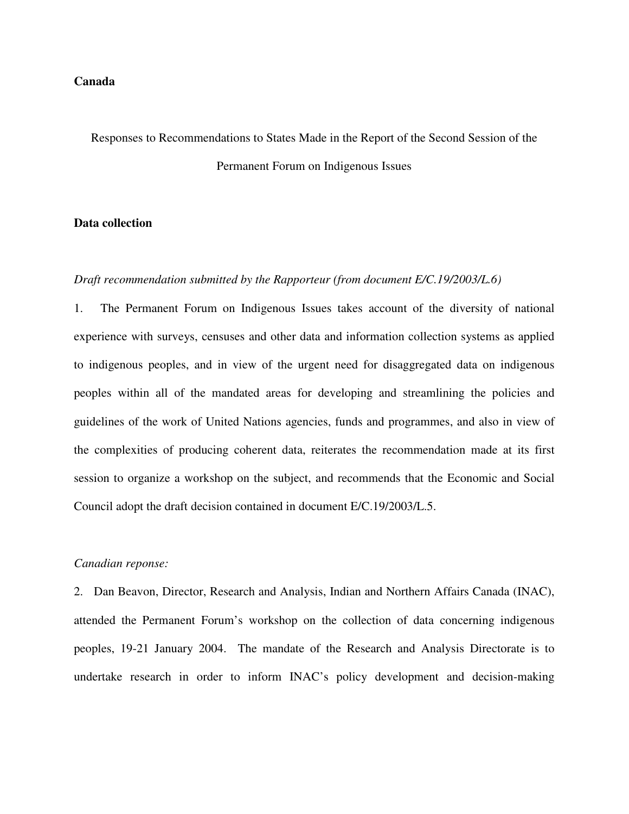# **Canada**

# Responses to Recommendations to States Made in the Report of the Second Session of the Permanent Forum on Indigenous Issues

# **Data collection**

# *Draft recommendation submitted by the Rapporteur (from document E/C.19/2003/L.6)*

1. The Permanent Forum on Indigenous Issues takes account of the diversity of national experience with surveys, censuses and other data and information collection systems as applied to indigenous peoples, and in view of the urgent need for disaggregated data on indigenous peoples within all of the mandated areas for developing and streamlining the policies and guidelines of the work of United Nations agencies, funds and programmes, and also in view of the complexities of producing coherent data, reiterates the recommendation made at its first session to organize a workshop on the subject, and recommends that the Economic and Social Council adopt the draft decision contained in document E/C.19/2003/L.5.

# *Canadian reponse:*

2. Dan Beavon, Director, Research and Analysis, Indian and Northern Affairs Canada (INAC), attended the Permanent Forum's workshop on the collection of data concerning indigenous peoples, 19-21 January 2004. The mandate of the Research and Analysis Directorate is to undertake research in order to inform INAC's policy development and decision-making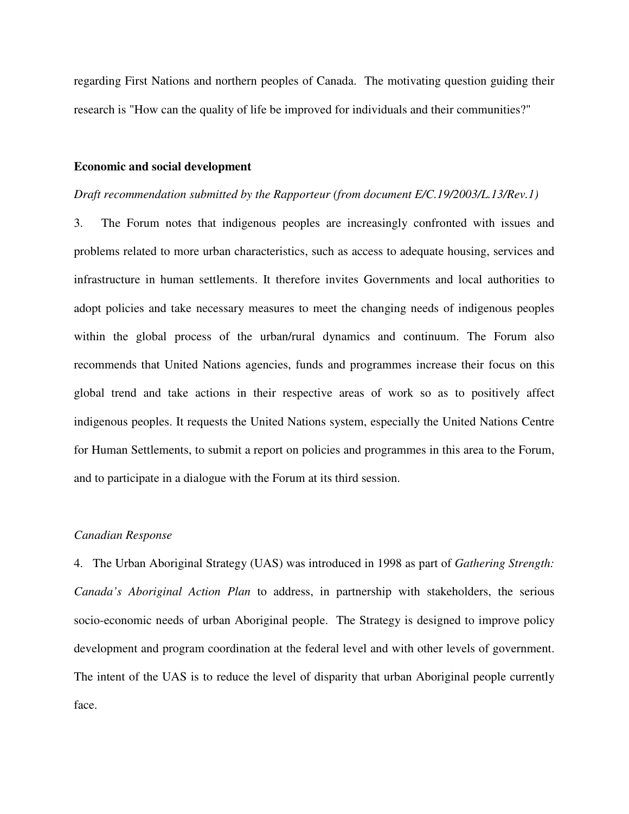regarding First Nations and northern peoples of Canada. The motivating question guiding their research is "How can the quality of life be improved for individuals and their communities?"

# **Economic and social development**

# *Draft recommendation submitted by the Rapporteur (from document E/C.19/2003/L.13/Rev.1)*

3. The Forum notes that indigenous peoples are increasingly confronted with issues and problems related to more urban characteristics, such as access to adequate housing, services and infrastructure in human settlements. It therefore invites Governments and local authorities to adopt policies and take necessary measures to meet the changing needs of indigenous peoples within the global process of the urban/rural dynamics and continuum. The Forum also recommends that United Nations agencies, funds and programmes increase their focus on this global trend and take actions in their respective areas of work so as to positively affect indigenous peoples. It requests the United Nations system, especially the United Nations Centre for Human Settlements, to submit a report on policies and programmes in this area to the Forum, and to participate in a dialogue with the Forum at its third session.

# *Canadian Response*

4. The Urban Aboriginal Strategy (UAS) was introduced in 1998 as part of *Gathering Strength: Canada's Aboriginal Action Plan* to address, in partnership with stakeholders, the serious socio-economic needs of urban Aboriginal people. The Strategy is designed to improve policy development and program coordination at the federal level and with other levels of government. The intent of the UAS is to reduce the level of disparity that urban Aboriginal people currently face.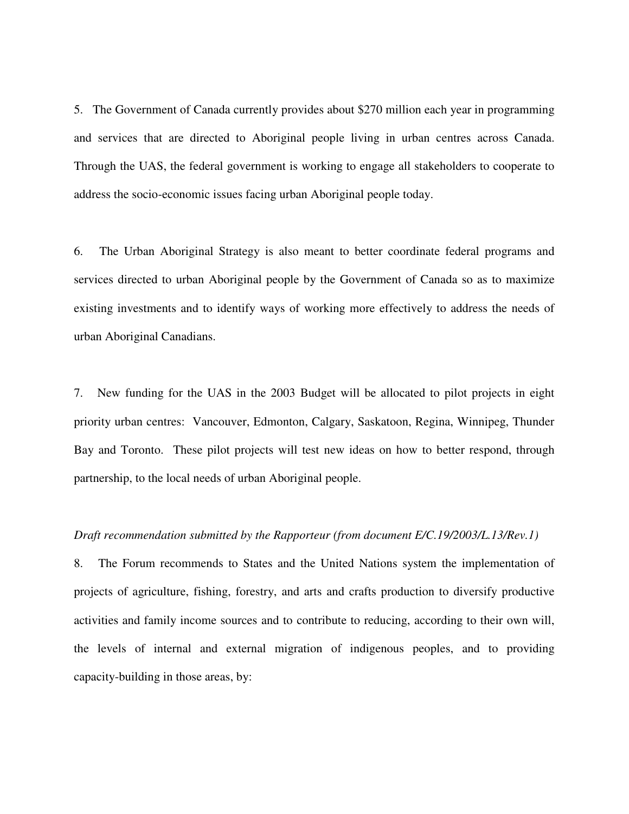5. The Government of Canada currently provides about \$270 million each year in programming and services that are directed to Aboriginal people living in urban centres across Canada. Through the UAS, the federal government is working to engage all stakeholders to cooperate to address the socio-economic issues facing urban Aboriginal people today.

6. The Urban Aboriginal Strategy is also meant to better coordinate federal programs and services directed to urban Aboriginal people by the Government of Canada so as to maximize existing investments and to identify ways of working more effectively to address the needs of urban Aboriginal Canadians.

7. New funding for the UAS in the 2003 Budget will be allocated to pilot projects in eight priority urban centres: Vancouver, Edmonton, Calgary, Saskatoon, Regina, Winnipeg, Thunder Bay and Toronto. These pilot projects will test new ideas on how to better respond, through partnership, to the local needs of urban Aboriginal people.

#### *Draft recommendation submitted by the Rapporteur (from document E/C.19/2003/L.13/Rev.1)*

8. The Forum recommends to States and the United Nations system the implementation of projects of agriculture, fishing, forestry, and arts and crafts production to diversify productive activities and family income sources and to contribute to reducing, according to their own will, the levels of internal and external migration of indigenous peoples, and to providing capacity-building in those areas, by: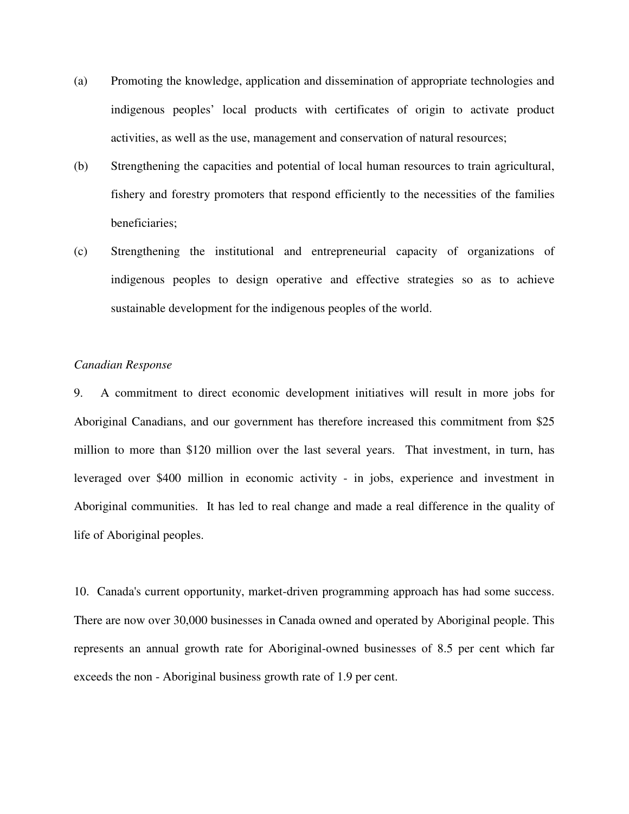- (a) Promoting the knowledge, application and dissemination of appropriate technologies and indigenous peoples' local products with certificates of origin to activate product activities, as well as the use, management and conservation of natural resources;
- (b) Strengthening the capacities and potential of local human resources to train agricultural, fishery and forestry promoters that respond efficiently to the necessities of the families beneficiaries;
- (c) Strengthening the institutional and entrepreneurial capacity of organizations of indigenous peoples to design operative and effective strategies so as to achieve sustainable development for the indigenous peoples of the world.

# *Canadian Response*

9. A commitment to direct economic development initiatives will result in more jobs for Aboriginal Canadians, and our government has therefore increased this commitment from \$25 million to more than \$120 million over the last several years. That investment, in turn, has leveraged over \$400 million in economic activity - in jobs, experience and investment in Aboriginal communities. It has led to real change and made a real difference in the quality of life of Aboriginal peoples.

10. Canada's current opportunity, market-driven programming approach has had some success. There are now over 30,000 businesses in Canada owned and operated by Aboriginal people. This represents an annual growth rate for Aboriginal-owned businesses of 8.5 per cent which far exceeds the non - Aboriginal business growth rate of 1.9 per cent.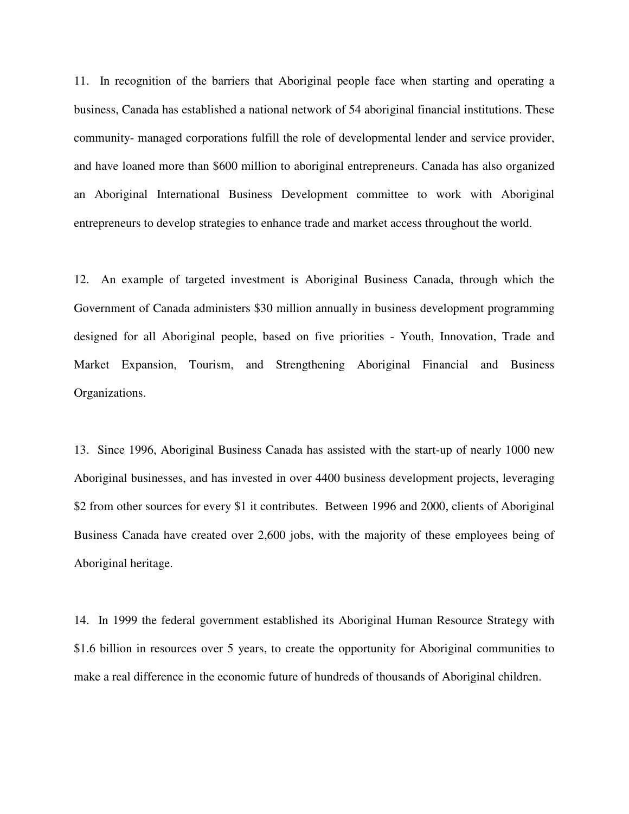11. In recognition of the barriers that Aboriginal people face when starting and operating a business, Canada has established a national network of 54 aboriginal financial institutions. These community- managed corporations fulfill the role of developmental lender and service provider, and have loaned more than \$600 million to aboriginal entrepreneurs. Canada has also organized an Aboriginal International Business Development committee to work with Aboriginal entrepreneurs to develop strategies to enhance trade and market access throughout the world.

12. An example of targeted investment is Aboriginal Business Canada, through which the Government of Canada administers \$30 million annually in business development programming designed for all Aboriginal people, based on five priorities - Youth, Innovation, Trade and Market Expansion, Tourism, and Strengthening Aboriginal Financial and Business Organizations.

13. Since 1996, Aboriginal Business Canada has assisted with the start-up of nearly 1000 new Aboriginal businesses, and has invested in over 4400 business development projects, leveraging \$2 from other sources for every \$1 it contributes. Between 1996 and 2000, clients of Aboriginal Business Canada have created over 2,600 jobs, with the majority of these employees being of Aboriginal heritage.

14. In 1999 the federal government established its Aboriginal Human Resource Strategy with \$1.6 billion in resources over 5 years, to create the opportunity for Aboriginal communities to make a real difference in the economic future of hundreds of thousands of Aboriginal children.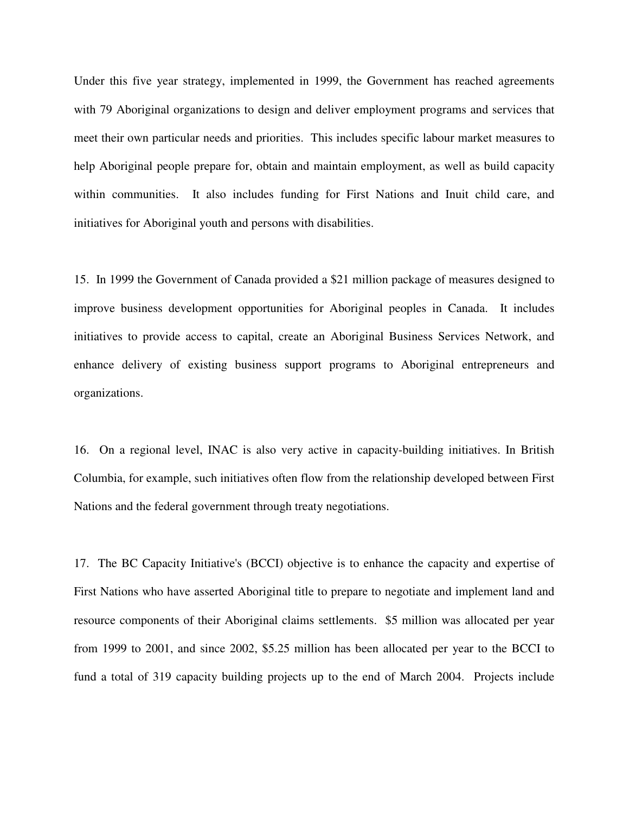Under this five year strategy, implemented in 1999, the Government has reached agreements with 79 Aboriginal organizations to design and deliver employment programs and services that meet their own particular needs and priorities. This includes specific labour market measures to help Aboriginal people prepare for, obtain and maintain employment, as well as build capacity within communities. It also includes funding for First Nations and Inuit child care, and initiatives for Aboriginal youth and persons with disabilities.

15. In 1999 the Government of Canada provided a \$21 million package of measures designed to improve business development opportunities for Aboriginal peoples in Canada. It includes initiatives to provide access to capital, create an Aboriginal Business Services Network, and enhance delivery of existing business support programs to Aboriginal entrepreneurs and organizations.

16. On a regional level, INAC is also very active in capacity-building initiatives. In British Columbia, for example, such initiatives often flow from the relationship developed between First Nations and the federal government through treaty negotiations.

17. The BC Capacity Initiative's (BCCI) objective is to enhance the capacity and expertise of First Nations who have asserted Aboriginal title to prepare to negotiate and implement land and resource components of their Aboriginal claims settlements. \$5 million was allocated per year from 1999 to 2001, and since 2002, \$5.25 million has been allocated per year to the BCCI to fund a total of 319 capacity building projects up to the end of March 2004. Projects include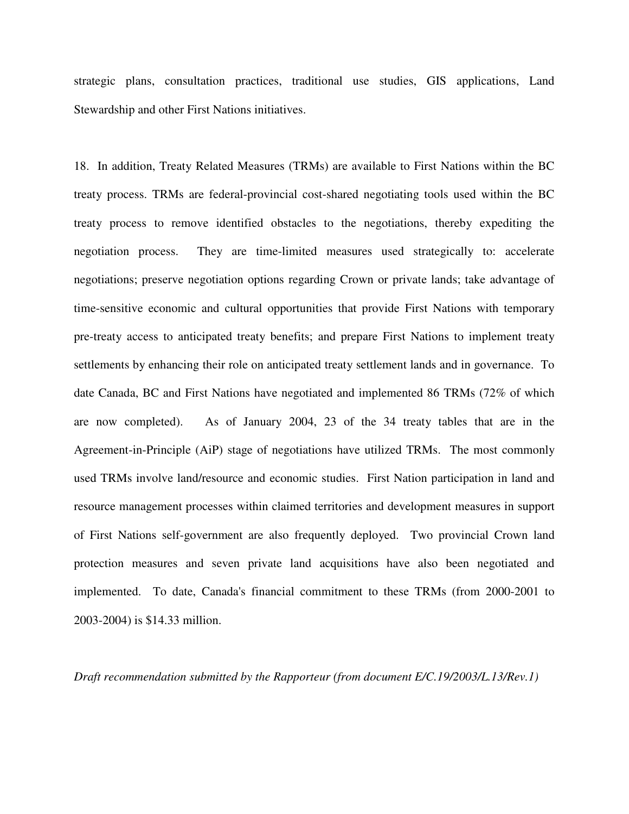strategic plans, consultation practices, traditional use studies, GIS applications, Land Stewardship and other First Nations initiatives.

18. In addition, Treaty Related Measures (TRMs) are available to First Nations within the BC treaty process. TRMs are federal-provincial cost-shared negotiating tools used within the BC treaty process to remove identified obstacles to the negotiations, thereby expediting the negotiation process. They are time-limited measures used strategically to: accelerate negotiations; preserve negotiation options regarding Crown or private lands; take advantage of time-sensitive economic and cultural opportunities that provide First Nations with temporary pre-treaty access to anticipated treaty benefits; and prepare First Nations to implement treaty settlements by enhancing their role on anticipated treaty settlement lands and in governance. To date Canada, BC and First Nations have negotiated and implemented 86 TRMs (72% of which are now completed). As of January 2004, 23 of the 34 treaty tables that are in the Agreement-in-Principle (AiP) stage of negotiations have utilized TRMs. The most commonly used TRMs involve land/resource and economic studies. First Nation participation in land and resource management processes within claimed territories and development measures in support of First Nations self-government are also frequently deployed. Two provincial Crown land protection measures and seven private land acquisitions have also been negotiated and implemented. To date, Canada's financial commitment to these TRMs (from 2000-2001 to 2003-2004) is \$14.33 million.

*Draft recommendation submitted by the Rapporteur (from document E/C.19/2003/L.13/Rev.1)*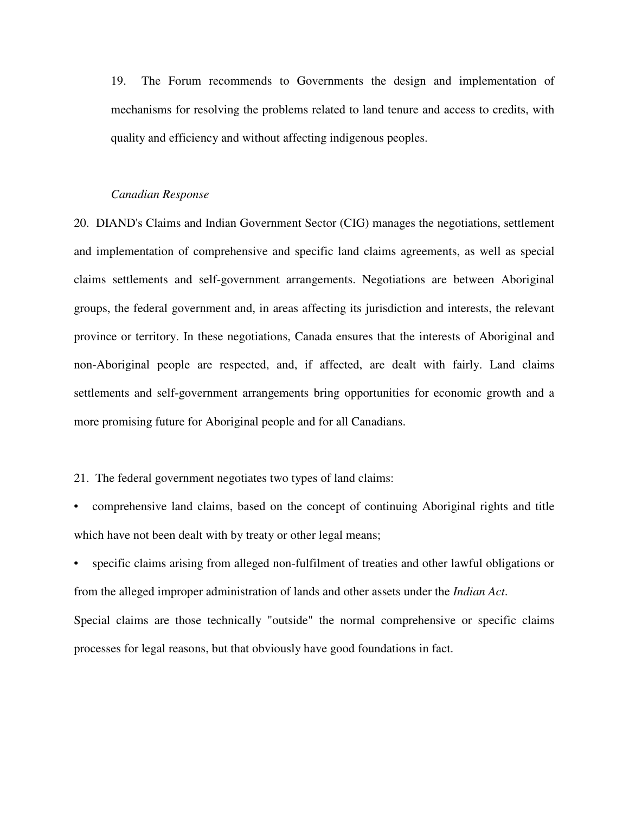19. The Forum recommends to Governments the design and implementation of mechanisms for resolving the problems related to land tenure and access to credits, with quality and efficiency and without affecting indigenous peoples.

#### *Canadian Response*

20. DIAND's Claims and Indian Government Sector (CIG) manages the negotiations, settlement and implementation of comprehensive and specific land claims agreements, as well as special claims settlements and self-government arrangements. Negotiations are between Aboriginal groups, the federal government and, in areas affecting its jurisdiction and interests, the relevant province or territory. In these negotiations, Canada ensures that the interests of Aboriginal and non-Aboriginal people are respected, and, if affected, are dealt with fairly. Land claims settlements and self-government arrangements bring opportunities for economic growth and a more promising future for Aboriginal people and for all Canadians.

21. The federal government negotiates two types of land claims:

• comprehensive land claims, based on the concept of continuing Aboriginal rights and title which have not been dealt with by treaty or other legal means;

specific claims arising from alleged non-fulfilment of treaties and other lawful obligations or from the alleged improper administration of lands and other assets under the *Indian Act*. Special claims are those technically "outside" the normal comprehensive or specific claims processes for legal reasons, but that obviously have good foundations in fact.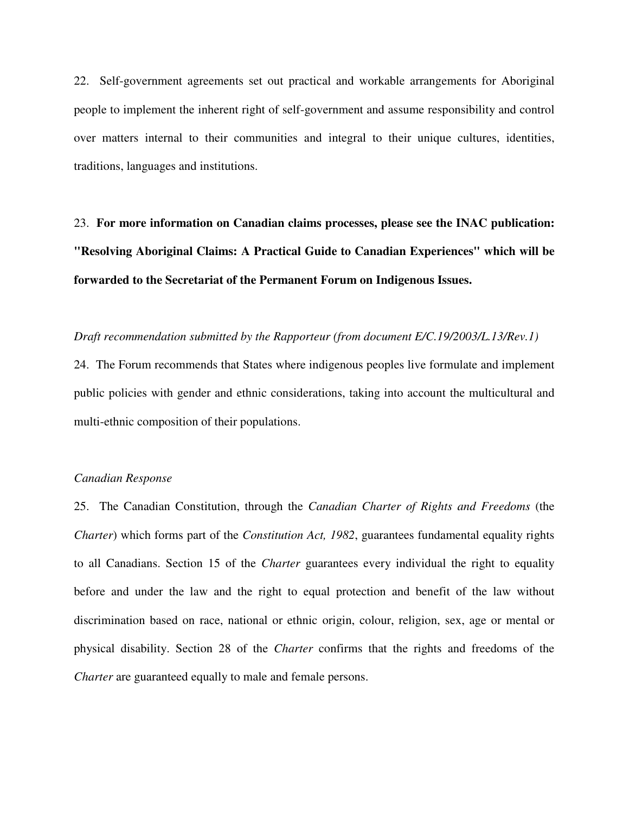22. Self-government agreements set out practical and workable arrangements for Aboriginal people to implement the inherent right of self-government and assume responsibility and control over matters internal to their communities and integral to their unique cultures, identities, traditions, languages and institutions.

23. **For more information on Canadian claims processes, please see the INAC publication: "Resolving Aboriginal Claims: A Practical Guide to Canadian Experiences" which will be forwarded to the Secretariat of the Permanent Forum on Indigenous Issues.**

*Draft recommendation submitted by the Rapporteur (from document E/C.19/2003/L.13/Rev.1)*

24. The Forum recommends that States where indigenous peoples live formulate and implement public policies with gender and ethnic considerations, taking into account the multicultural and multi-ethnic composition of their populations.

# *Canadian Response*

25. The Canadian Constitution, through the *Canadian Charter of Rights and Freedoms* (the *Charter*) which forms part of the *Constitution Act, 1982*, guarantees fundamental equality rights to all Canadians. Section 15 of the *Charter* guarantees every individual the right to equality before and under the law and the right to equal protection and benefit of the law without discrimination based on race, national or ethnic origin, colour, religion, sex, age or mental or physical disability. Section 28 of the *Charter* confirms that the rights and freedoms of the *Charter* are guaranteed equally to male and female persons.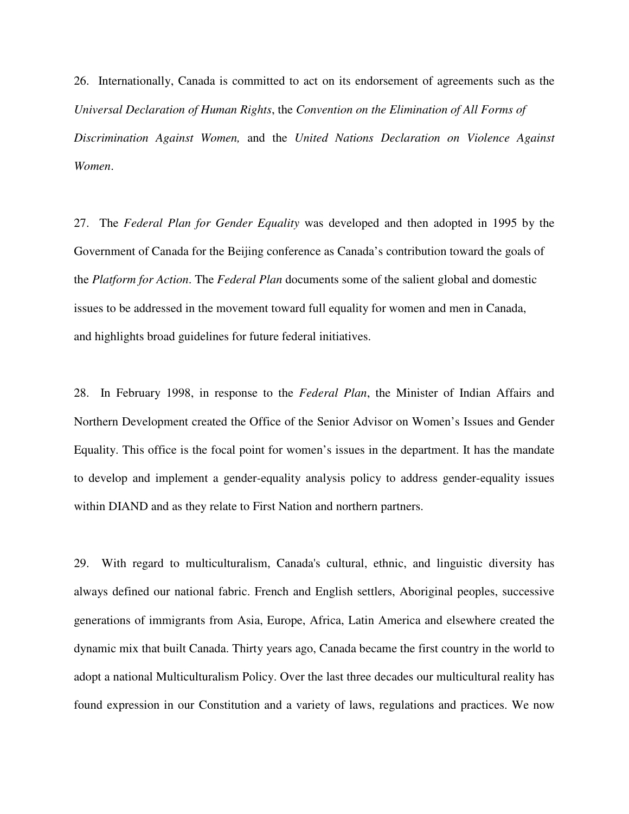26. Internationally, Canada is committed to act on its endorsement of agreements such as the *Universal Declaration of Human Rights*, the *Convention on the Elimination of All Forms of Discrimination Against Women,* and the *United Nations Declaration on Violence Against Women*.

27. The *Federal Plan for Gender Equality* was developed and then adopted in 1995 by the Government of Canada for the Beijing conference as Canada's contribution toward the goals of the *Platform for Action*. The *Federal Plan* documents some of the salient global and domestic issues to be addressed in the movement toward full equality for women and men in Canada, and highlights broad guidelines for future federal initiatives.

28. In February 1998, in response to the *Federal Plan*, the Minister of Indian Affairs and Northern Development created the Office of the Senior Advisor on Women's Issues and Gender Equality. This office is the focal point for women's issues in the department. It has the mandate to develop and implement a gender-equality analysis policy to address gender-equality issues within DIAND and as they relate to First Nation and northern partners.

29. With regard to multiculturalism, Canada's cultural, ethnic, and linguistic diversity has always defined our national fabric. French and English settlers, Aboriginal peoples, successive generations of immigrants from Asia, Europe, Africa, Latin America and elsewhere created the dynamic mix that built Canada. Thirty years ago, Canada became the first country in the world to adopt a national Multiculturalism Policy. Over the last three decades our multicultural reality has found expression in our Constitution and a variety of laws, regulations and practices. We now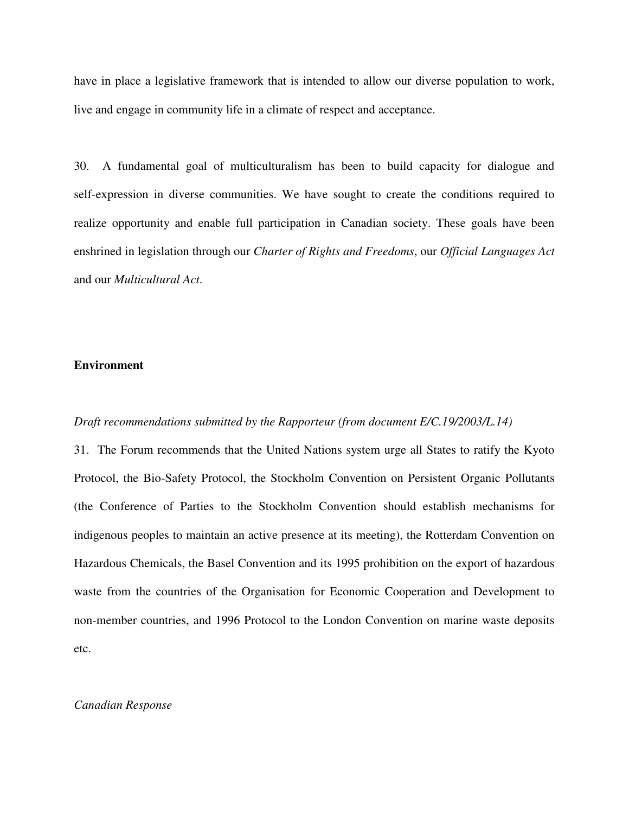have in place a legislative framework that is intended to allow our diverse population to work, live and engage in community life in a climate of respect and acceptance.

30. A fundamental goal of multiculturalism has been to build capacity for dialogue and self-expression in diverse communities. We have sought to create the conditions required to realize opportunity and enable full participation in Canadian society. These goals have been enshrined in legislation through our *Charter of Rights and Freedoms*, our *Official Languages Act* and our *Multicultural Act*.

# **Environment**

# *Draft recommendations submitted by the Rapporteur (from document E/C.19/2003/L.14)*

31. The Forum recommends that the United Nations system urge all States to ratify the Kyoto Protocol, the Bio-Safety Protocol, the Stockholm Convention on Persistent Organic Pollutants (the Conference of Parties to the Stockholm Convention should establish mechanisms for indigenous peoples to maintain an active presence at its meeting), the Rotterdam Convention on Hazardous Chemicals, the Basel Convention and its 1995 prohibition on the export of hazardous waste from the countries of the Organisation for Economic Cooperation and Development to non-member countries, and 1996 Protocol to the London Convention on marine waste deposits etc.

#### *Canadian Response*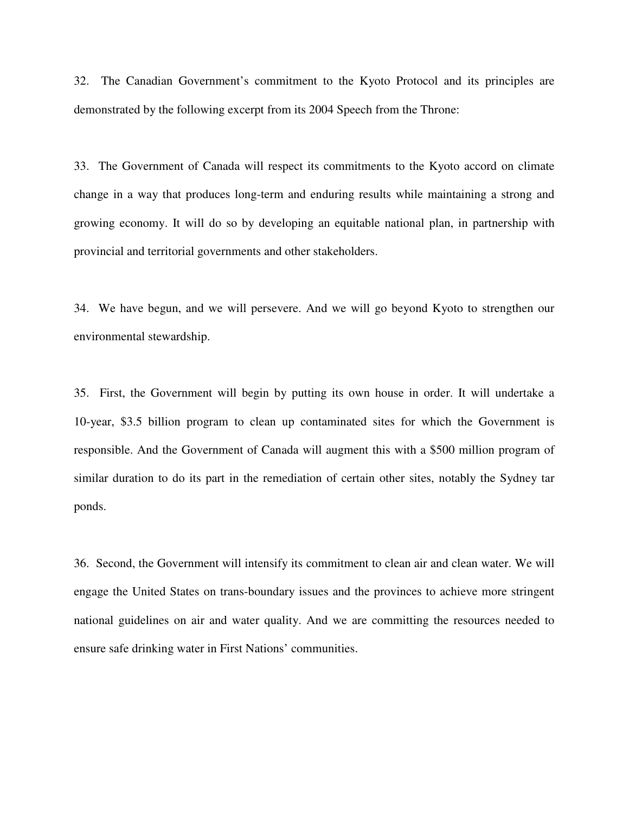32. The Canadian Government's commitment to the Kyoto Protocol and its principles are demonstrated by the following excerpt from its 2004 Speech from the Throne:

33. The Government of Canada will respect its commitments to the Kyoto accord on climate change in a way that produces long-term and enduring results while maintaining a strong and growing economy. It will do so by developing an equitable national plan, in partnership with provincial and territorial governments and other stakeholders.

34. We have begun, and we will persevere. And we will go beyond Kyoto to strengthen our environmental stewardship.

35. First, the Government will begin by putting its own house in order. It will undertake a 10-year, \$3.5 billion program to clean up contaminated sites for which the Government is responsible. And the Government of Canada will augment this with a \$500 million program of similar duration to do its part in the remediation of certain other sites, notably the Sydney tar ponds.

36. Second, the Government will intensify its commitment to clean air and clean water. We will engage the United States on trans-boundary issues and the provinces to achieve more stringent national guidelines on air and water quality. And we are committing the resources needed to ensure safe drinking water in First Nations' communities.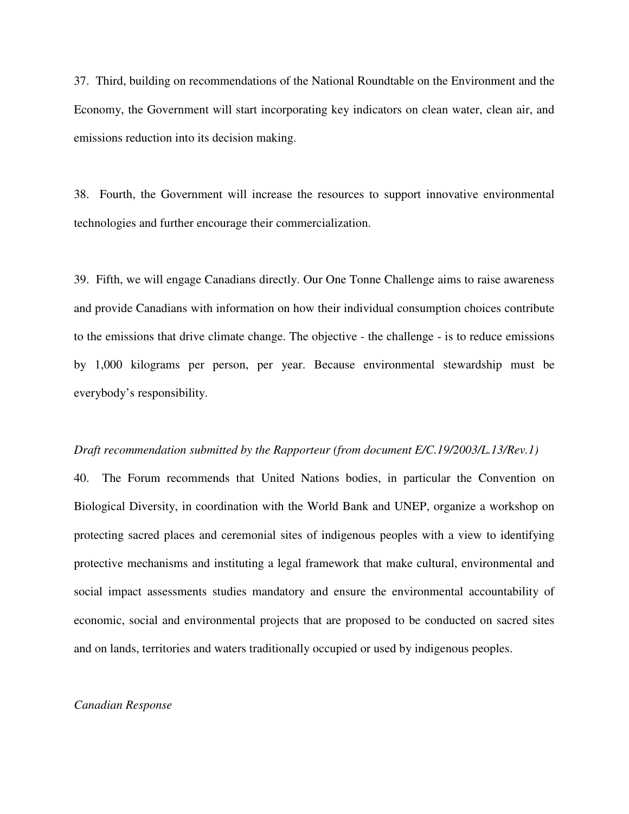37. Third, building on recommendations of the National Roundtable on the Environment and the Economy, the Government will start incorporating key indicators on clean water, clean air, and emissions reduction into its decision making.

38. Fourth, the Government will increase the resources to support innovative environmental technologies and further encourage their commercialization.

39. Fifth, we will engage Canadians directly. Our One Tonne Challenge aims to raise awareness and provide Canadians with information on how their individual consumption choices contribute to the emissions that drive climate change. The objective - the challenge - is to reduce emissions by 1,000 kilograms per person, per year. Because environmental stewardship must be everybody's responsibility.

#### *Draft recommendation submitted by the Rapporteur (from document E/C.19/2003/L.13/Rev.1)*

40. The Forum recommends that United Nations bodies, in particular the Convention on Biological Diversity, in coordination with the World Bank and UNEP, organize a workshop on protecting sacred places and ceremonial sites of indigenous peoples with a view to identifying protective mechanisms and instituting a legal framework that make cultural, environmental and social impact assessments studies mandatory and ensure the environmental accountability of economic, social and environmental projects that are proposed to be conducted on sacred sites and on lands, territories and waters traditionally occupied or used by indigenous peoples.

#### *Canadian Response*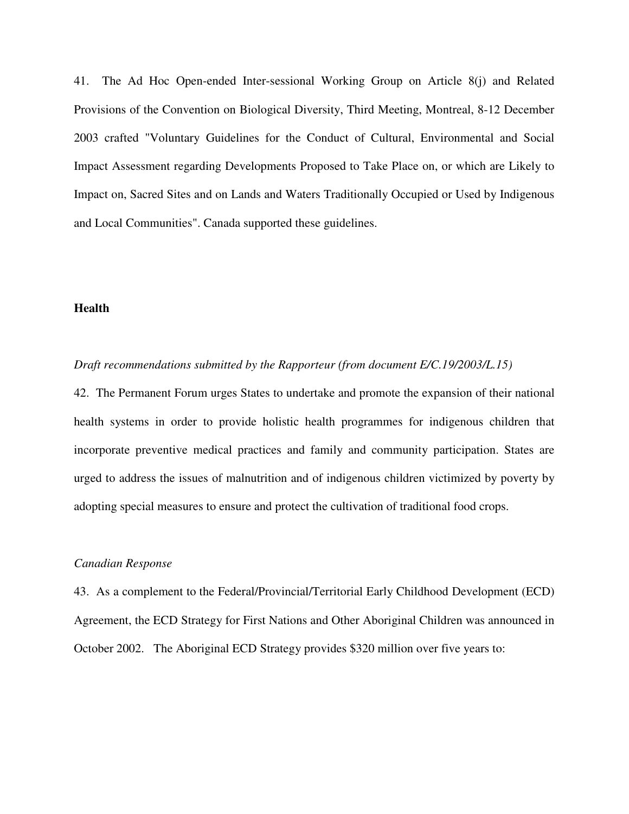41. The Ad Hoc Open-ended Inter-sessional Working Group on Article 8(j) and Related Provisions of the Convention on Biological Diversity, Third Meeting, Montreal, 8-12 December 2003 crafted "Voluntary Guidelines for the Conduct of Cultural, Environmental and Social Impact Assessment regarding Developments Proposed to Take Place on, or which are Likely to Impact on, Sacred Sites and on Lands and Waters Traditionally Occupied or Used by Indigenous and Local Communities". Canada supported these guidelines.

# **Health**

# *Draft recommendations submitted by the Rapporteur (from document E/C.19/2003/L.15)*

42. The Permanent Forum urges States to undertake and promote the expansion of their national health systems in order to provide holistic health programmes for indigenous children that incorporate preventive medical practices and family and community participation. States are urged to address the issues of malnutrition and of indigenous children victimized by poverty by adopting special measures to ensure and protect the cultivation of traditional food crops.

# *Canadian Response*

43. As a complement to the Federal/Provincial/Territorial Early Childhood Development (ECD) Agreement, the ECD Strategy for First Nations and Other Aboriginal Children was announced in October 2002. The Aboriginal ECD Strategy provides \$320 million over five years to: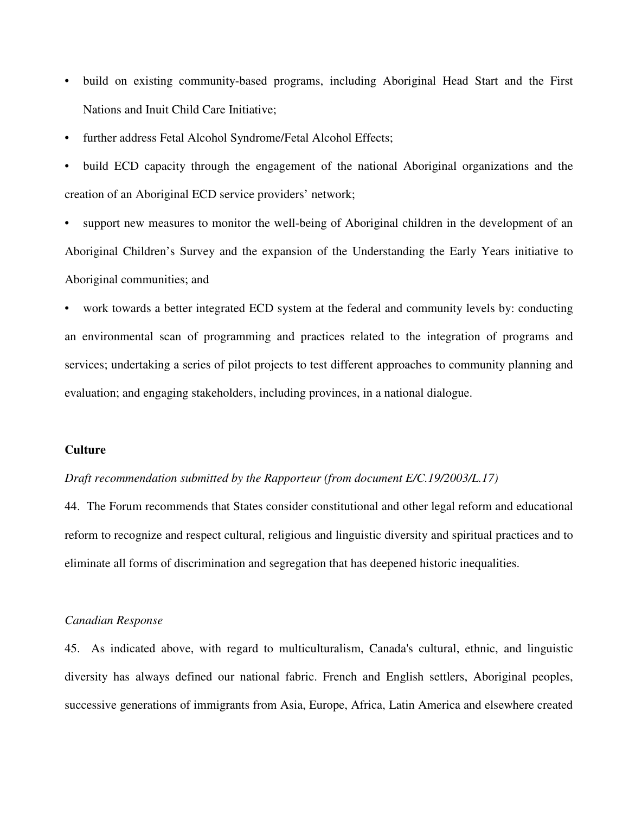- build on existing community-based programs, including Aboriginal Head Start and the First Nations and Inuit Child Care Initiative;
- further address Fetal Alcohol Syndrome/Fetal Alcohol Effects;
- build ECD capacity through the engagement of the national Aboriginal organizations and the creation of an Aboriginal ECD service providers' network;

support new measures to monitor the well-being of Aboriginal children in the development of an Aboriginal Children's Survey and the expansion of the Understanding the Early Years initiative to Aboriginal communities; and

work towards a better integrated ECD system at the federal and community levels by: conducting an environmental scan of programming and practices related to the integration of programs and services; undertaking a series of pilot projects to test different approaches to community planning and evaluation; and engaging stakeholders, including provinces, in a national dialogue.

# **Culture**

# *Draft recommendation submitted by the Rapporteur (from document E/C.19/2003/L.17)*

44. The Forum recommends that States consider constitutional and other legal reform and educational reform to recognize and respect cultural, religious and linguistic diversity and spiritual practices and to eliminate all forms of discrimination and segregation that has deepened historic inequalities.

## *Canadian Response*

45. As indicated above, with regard to multiculturalism, Canada's cultural, ethnic, and linguistic diversity has always defined our national fabric. French and English settlers, Aboriginal peoples, successive generations of immigrants from Asia, Europe, Africa, Latin America and elsewhere created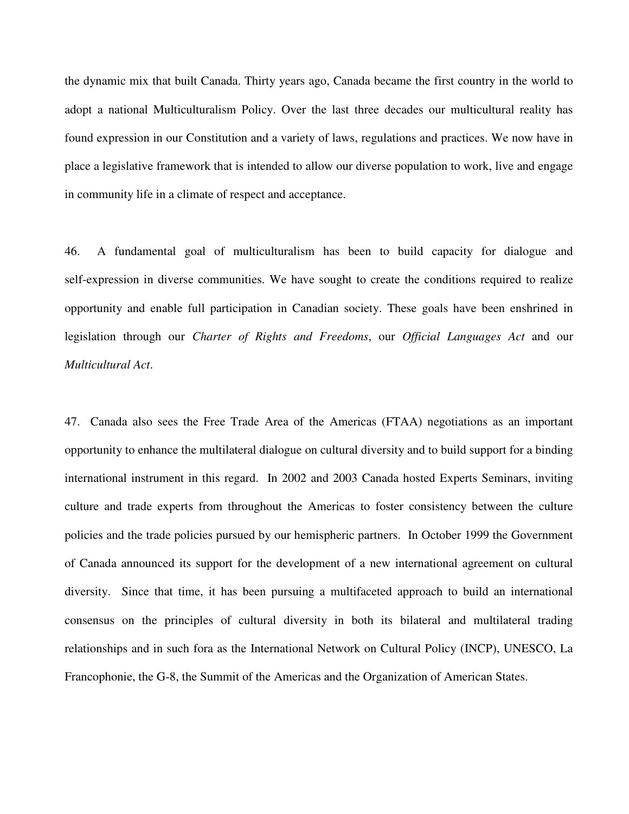the dynamic mix that built Canada. Thirty years ago, Canada became the first country in the world to adopt a national Multiculturalism Policy. Over the last three decades our multicultural reality has found expression in our Constitution and a variety of laws, regulations and practices. We now have in place a legislative framework that is intended to allow our diverse population to work, live and engage in community life in a climate of respect and acceptance.

46. A fundamental goal of multiculturalism has been to build capacity for dialogue and self-expression in diverse communities. We have sought to create the conditions required to realize opportunity and enable full participation in Canadian society. These goals have been enshrined in legislation through our *Charter of Rights and Freedoms*, our *Official Languages Act* and our *Multicultural Act*.

47. Canada also sees the Free Trade Area of the Americas (FTAA) negotiations as an important opportunity to enhance the multilateral dialogue on cultural diversity and to build support for a binding international instrument in this regard. In 2002 and 2003 Canada hosted Experts Seminars, inviting culture and trade experts from throughout the Americas to foster consistency between the culture policies and the trade policies pursued by our hemispheric partners. In October 1999 the Government of Canada announced its support for the development of a new international agreement on cultural diversity. Since that time, it has been pursuing a multifaceted approach to build an international consensus on the principles of cultural diversity in both its bilateral and multilateral trading relationships and in such fora as the International Network on Cultural Policy (INCP), UNESCO, La Francophonie, the G-8, the Summit of the Americas and the Organization of American States.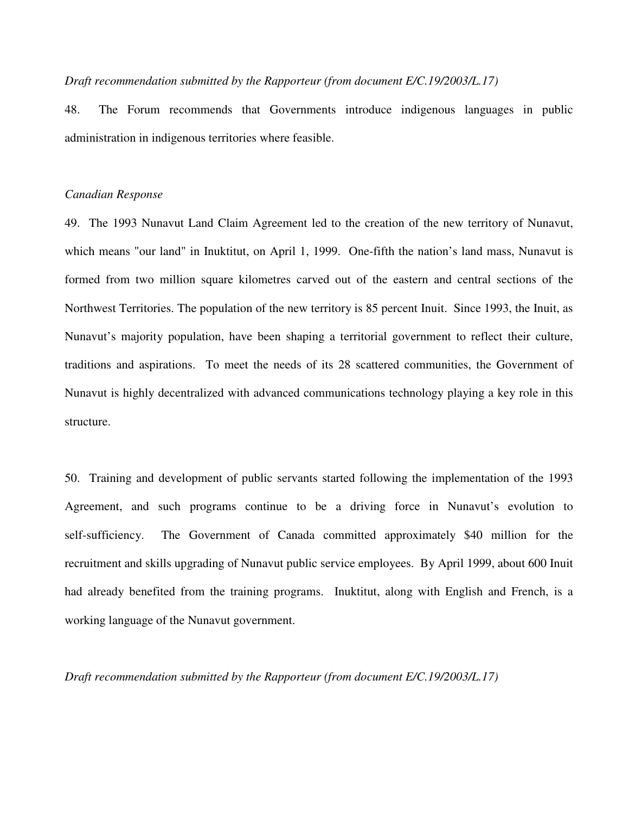# *Draft recommendation submitted by the Rapporteur (from document E/C.19/2003/L.17)*

48. The Forum recommends that Governments introduce indigenous languages in public administration in indigenous territories where feasible.

# *Canadian Response*

49. The 1993 Nunavut Land Claim Agreement led to the creation of the new territory of Nunavut, which means "our land" in Inuktitut, on April 1, 1999. One-fifth the nation's land mass, Nunavut is formed from two million square kilometres carved out of the eastern and central sections of the Northwest Territories. The population of the new territory is 85 percent Inuit. Since 1993, the Inuit, as Nunavut's majority population, have been shaping a territorial government to reflect their culture, traditions and aspirations. To meet the needs of its 28 scattered communities, the Government of Nunavut is highly decentralized with advanced communications technology playing a key role in this structure.

50. Training and development of public servants started following the implementation of the 1993 Agreement, and such programs continue to be a driving force in Nunavut's evolution to self-sufficiency. The Government of Canada committed approximately \$40 million for the recruitment and skills upgrading of Nunavut public service employees. By April 1999, about 600 Inuit had already benefited from the training programs. Inuktitut, along with English and French, is a working language of the Nunavut government.

*Draft recommendation submitted by the Rapporteur (from document E/C.19/2003/L.17)*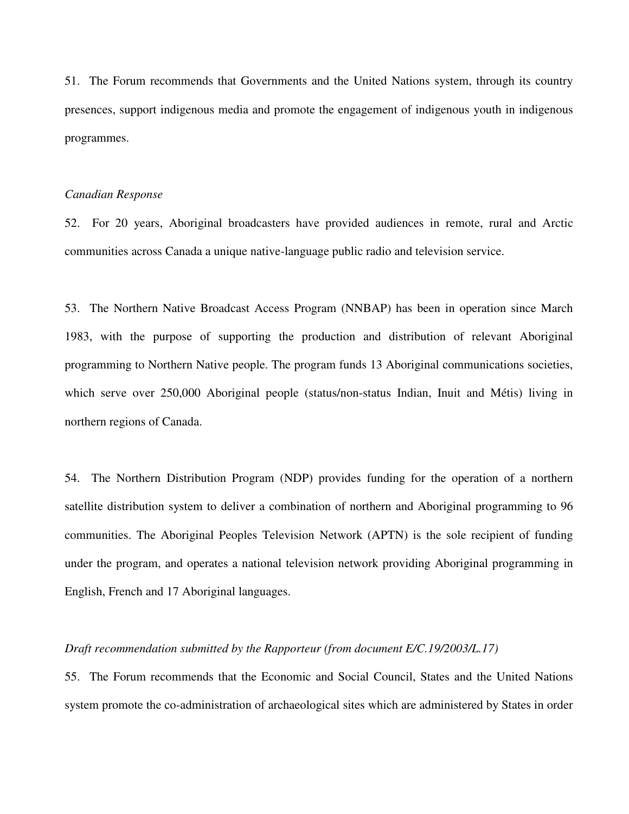51. The Forum recommends that Governments and the United Nations system, through its country presences, support indigenous media and promote the engagement of indigenous youth in indigenous programmes.

#### *Canadian Response*

52. For 20 years, Aboriginal broadcasters have provided audiences in remote, rural and Arctic communities across Canada a unique native-language public radio and television service.

53. The Northern Native Broadcast Access Program (NNBAP) has been in operation since March 1983, with the purpose of supporting the production and distribution of relevant Aboriginal programming to Northern Native people. The program funds 13 Aboriginal communications societies, which serve over 250,000 Aboriginal people (status/non-status Indian, Inuit and Métis) living in northern regions of Canada.

54. The Northern Distribution Program (NDP) provides funding for the operation of a northern satellite distribution system to deliver a combination of northern and Aboriginal programming to 96 communities. The Aboriginal Peoples Television Network (APTN) is the sole recipient of funding under the program, and operates a national television network providing Aboriginal programming in English, French and 17 Aboriginal languages.

# *Draft recommendation submitted by the Rapporteur (from document E/C.19/2003/L.17)*

55. The Forum recommends that the Economic and Social Council, States and the United Nations system promote the co-administration of archaeological sites which are administered by States in order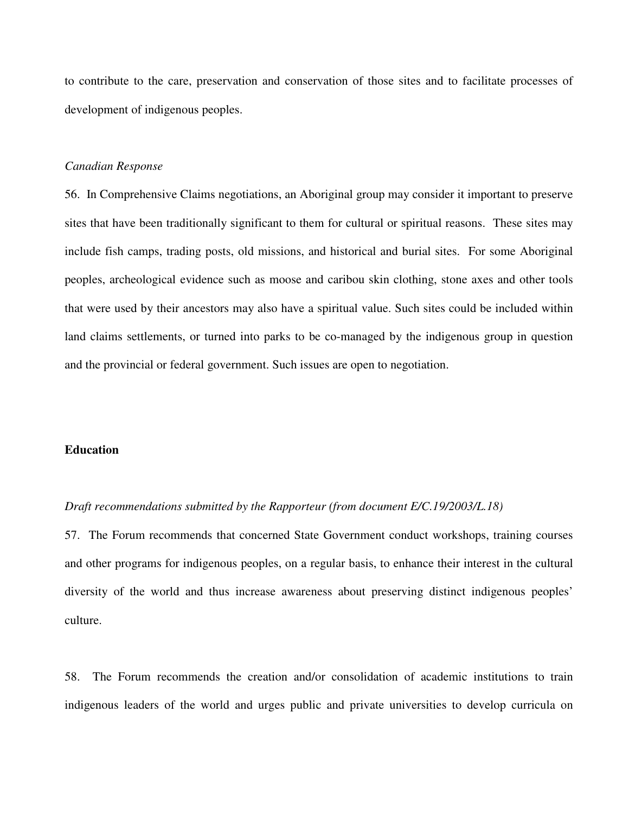to contribute to the care, preservation and conservation of those sites and to facilitate processes of development of indigenous peoples.

# *Canadian Response*

56. In Comprehensive Claims negotiations, an Aboriginal group may consider it important to preserve sites that have been traditionally significant to them for cultural or spiritual reasons. These sites may include fish camps, trading posts, old missions, and historical and burial sites. For some Aboriginal peoples, archeological evidence such as moose and caribou skin clothing, stone axes and other tools that were used by their ancestors may also have a spiritual value. Such sites could be included within land claims settlements, or turned into parks to be co-managed by the indigenous group in question and the provincial or federal government. Such issues are open to negotiation.

# **Education**

# *Draft recommendations submitted by the Rapporteur (from document E/C.19/2003/L.18)*

57. The Forum recommends that concerned State Government conduct workshops, training courses and other programs for indigenous peoples, on a regular basis, to enhance their interest in the cultural diversity of the world and thus increase awareness about preserving distinct indigenous peoples' culture.

58. The Forum recommends the creation and/or consolidation of academic institutions to train indigenous leaders of the world and urges public and private universities to develop curricula on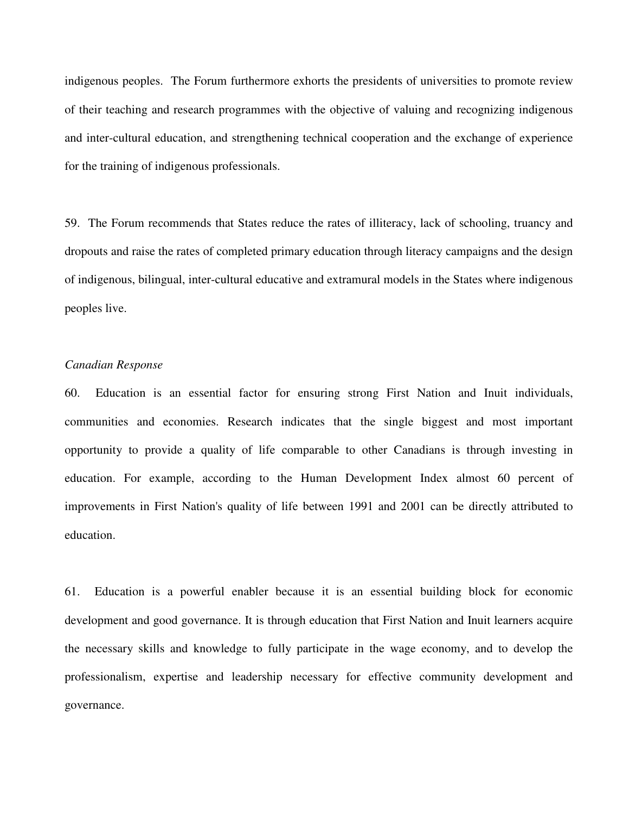indigenous peoples. The Forum furthermore exhorts the presidents of universities to promote review of their teaching and research programmes with the objective of valuing and recognizing indigenous and inter-cultural education, and strengthening technical cooperation and the exchange of experience for the training of indigenous professionals.

59. The Forum recommends that States reduce the rates of illiteracy, lack of schooling, truancy and dropouts and raise the rates of completed primary education through literacy campaigns and the design of indigenous, bilingual, inter-cultural educative and extramural models in the States where indigenous peoples live.

# *Canadian Response*

60. Education is an essential factor for ensuring strong First Nation and Inuit individuals, communities and economies. Research indicates that the single biggest and most important opportunity to provide a quality of life comparable to other Canadians is through investing in education. For example, according to the Human Development Index almost 60 percent of improvements in First Nation's quality of life between 1991 and 2001 can be directly attributed to education.

61. Education is a powerful enabler because it is an essential building block for economic development and good governance. It is through education that First Nation and Inuit learners acquire the necessary skills and knowledge to fully participate in the wage economy, and to develop the professionalism, expertise and leadership necessary for effective community development and governance.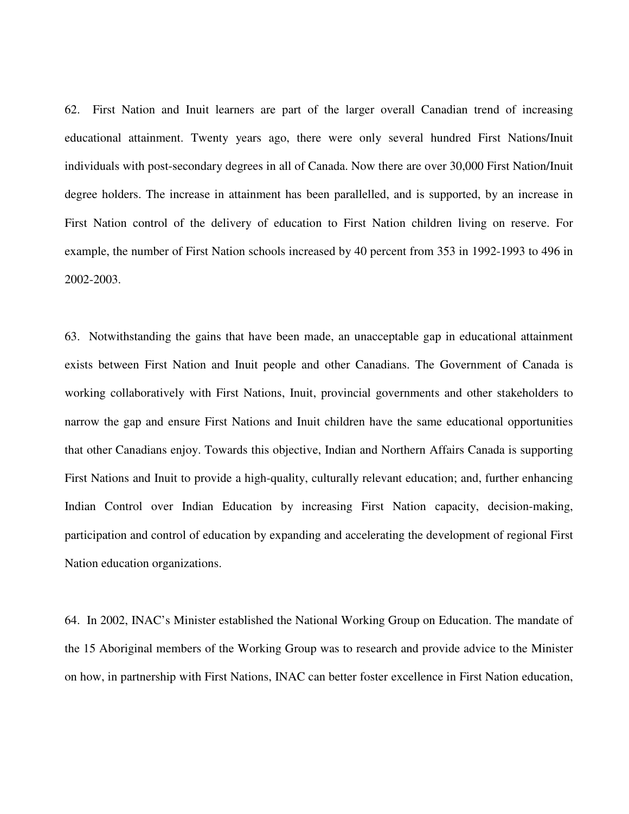62. First Nation and Inuit learners are part of the larger overall Canadian trend of increasing educational attainment. Twenty years ago, there were only several hundred First Nations/Inuit individuals with post-secondary degrees in all of Canada. Now there are over 30,000 First Nation/Inuit degree holders. The increase in attainment has been parallelled, and is supported, by an increase in First Nation control of the delivery of education to First Nation children living on reserve. For example, the number of First Nation schools increased by 40 percent from 353 in 1992-1993 to 496 in 2002-2003.

63. Notwithstanding the gains that have been made, an unacceptable gap in educational attainment exists between First Nation and Inuit people and other Canadians. The Government of Canada is working collaboratively with First Nations, Inuit, provincial governments and other stakeholders to narrow the gap and ensure First Nations and Inuit children have the same educational opportunities that other Canadians enjoy. Towards this objective, Indian and Northern Affairs Canada is supporting First Nations and Inuit to provide a high-quality, culturally relevant education; and, further enhancing Indian Control over Indian Education by increasing First Nation capacity, decision-making, participation and control of education by expanding and accelerating the development of regional First Nation education organizations.

64. In 2002, INAC's Minister established the National Working Group on Education. The mandate of the 15 Aboriginal members of the Working Group was to research and provide advice to the Minister on how, in partnership with First Nations, INAC can better foster excellence in First Nation education,